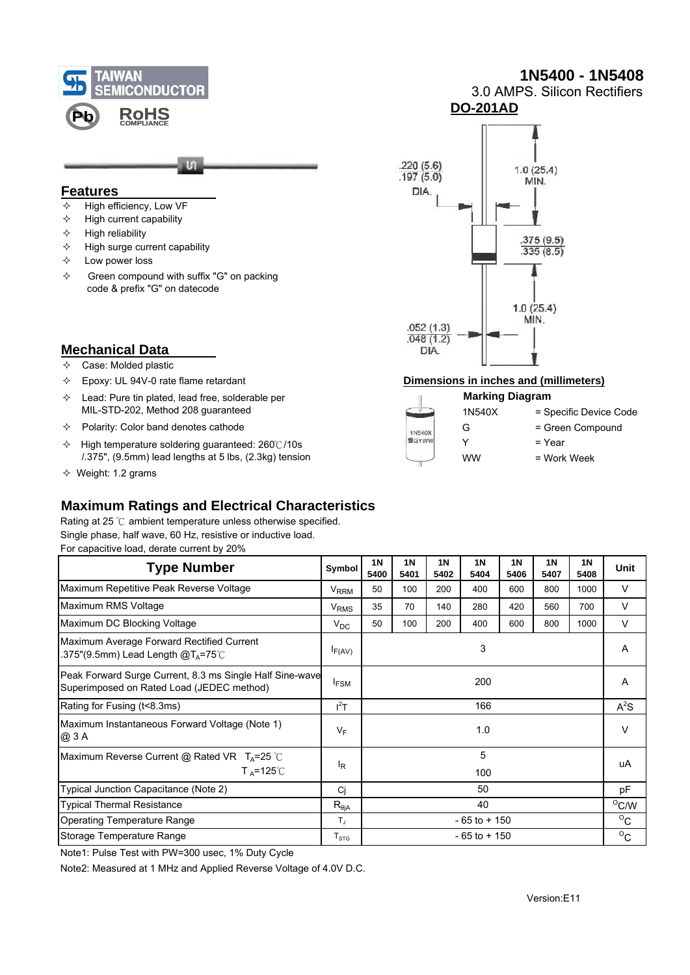

# **1N5400 - 1N5408**

 3.0 AMPS. Silicon Rectifiers **DO-201AD**



**Features** 

- $\div$  High reliability
- $\div$  High surge current capability
- $\diamond$  Low power loss
- $\Diamond$  Green compound with suffix "G" on packing code & prefix "G" on datecode



## **Mechanical Data**

- $\Leftrightarrow$  Case: Molded plastic
- 
- $\Diamond$  Lead: Pure tin plated, lead free, solderable per MIL-STD-202, Method 208 guaranteed
- $\Diamond$  Polarity: Color band denotes cathode
- High temperature soldering guaranteed: 260℃/10s /.375", (9.5mm) lead lengths at 5 lbs, (2.3kg) tension
- $\Diamond$  Weight: 1.2 grams

## Epoxy: UL 94V-0 rate flame retardant **Dimensions in inches and (millimeters)**

#### **Marking Diagram** 1N540X = Specific Device Code G = Green Compound 1N540X **SGYWW**  $Y = Year$ WW = Work Week

# **Maximum Ratings and Electrical Characteristics**

Rating at 25 ℃ ambient temperature unless otherwise specified. Single phase, half wave, 60 Hz, resistive or inductive load. For capacitive load, derate current by 20%

| <b>Type Number</b>                                                                                    | Symbol                                      | 1 <sub>N</sub><br>5400 | <b>1N</b><br>5401 | <b>1N</b><br>5402 | 1 <sub>N</sub><br>5404 | <b>1N</b><br>5406 | <b>1N</b><br>5407 | 1 <sub>N</sub><br>5408 | <b>Unit</b> |
|-------------------------------------------------------------------------------------------------------|---------------------------------------------|------------------------|-------------------|-------------------|------------------------|-------------------|-------------------|------------------------|-------------|
| Maximum Repetitive Peak Reverse Voltage                                                               | V <sub>RRM</sub>                            | 50                     | 100               | 200               | 400                    | 600               | 800               | 1000                   | V           |
| Maximum RMS Voltage                                                                                   | <b>V<sub>RMS</sub></b>                      | 35                     | 70                | 140               | 280                    | 420               | 560               | 700                    | V           |
| Maximum DC Blocking Voltage                                                                           | $V_{DC}$                                    | 50                     | 100               | 200               | 400                    | 600               | 800               | 1000                   | $\vee$      |
| Maximum Average Forward Rectified Current<br>.375"(9.5mm) Lead Length @T $_{\mathtt{A}}$ =75°C        | $I_{F(AV)}$                                 | 3                      |                   |                   |                        |                   |                   |                        | A           |
| Peak Forward Surge Current, 8.3 ms Single Half Sine-wave<br>Superimposed on Rated Load (JEDEC method) | $I_{FSM}$                                   | 200                    |                   |                   |                        |                   |                   |                        | A           |
| Rating for Fusing (t<8.3ms)                                                                           | $I^2T$                                      | 166                    |                   |                   |                        |                   |                   |                        | $A^2S$      |
| Maximum Instantaneous Forward Voltage (Note 1)<br>@ 3 A                                               | $V_F$                                       | 1.0                    |                   |                   |                        |                   |                   |                        | $\vee$      |
| Maximum Reverse Current @ Rated VR $T_A = 25$ °C<br>$T_A = 125^\circ \text{C}$                        | l <sub>R</sub>                              | 5<br>100               |                   |                   |                        |                   |                   |                        | uA          |
| Typical Junction Capacitance (Note 2)                                                                 | Ci                                          | 50                     |                   |                   |                        |                   |                   |                        | pF          |
| <b>Typical Thermal Resistance</b>                                                                     | $\mathsf{R}_{\theta \mathsf{j} \mathsf{A}}$ | 40                     |                   |                   |                        |                   |                   | $^{\circ}$ C/W         |             |
| <b>Operating Temperature Range</b>                                                                    | $T_{\rm J}$                                 | $-65$ to $+150$        |                   |                   |                        |                   |                   |                        | $\rm ^{o}C$ |
| Storage Temperature Range                                                                             | $T_{\text{STG}}$                            |                        | $-65$ to $+150$   |                   |                        |                   |                   |                        |             |

Note1: Pulse Test with PW=300 usec, 1% Duty Cycle

Note2: Measured at 1 MHz and Applied Reverse Voltage of 4.0V D.C.